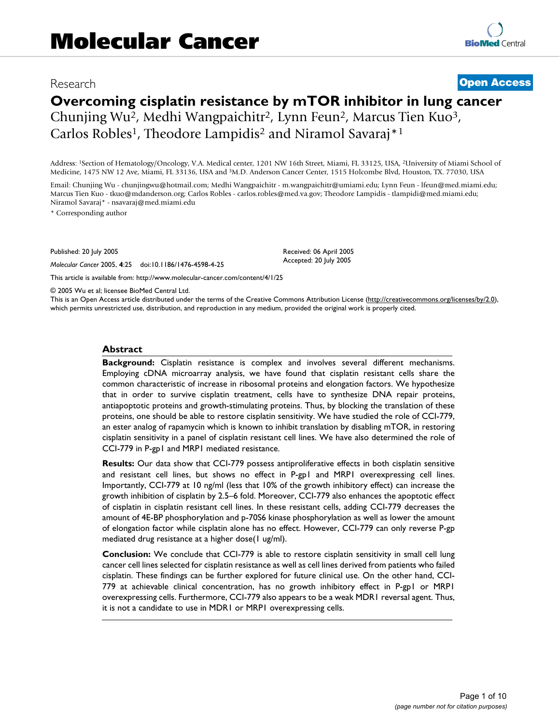# Research **[Open Access](http://www.biomedcentral.com/info/about/charter/)**

# **Overcoming cisplatin resistance by mTOR inhibitor in lung cancer**

Chunjing Wu<sup>2</sup>, Medhi Wangpaichitr<sup>2</sup>, Lynn Feun<sup>2</sup>, Marcus Tien Kuo<sup>3</sup>, Carlos Robles<sup>1</sup>, Theodore Lampidis<sup>2</sup> and Niramol Savaraj<sup>\*1</sup>

Address: 1Section of Hematology/Oncology, V.A. Medical center, 1201 NW 16th Street, Miami, FL 33125, USA, 2University of Miami School of Medicine, 1475 NW 12 Ave, Miami, FL 33136, USA and 3M.D. Anderson Cancer Center, 1515 Holcombe Blvd, Houston, TX. 77030, USA

Email: Chunjing Wu - chunjingwu@hotmail.com; Medhi Wangpaichitr - m.wangpaichitr@umiami.edu; Lynn Feun - lfeun@med.miami.edu; Marcus Tien Kuo - tkuo@mdanderson.org; Carlos Robles - carlos.robles@med.va.gov; Theodore Lampidis - tlampidi@med.miami.edu; Niramol Savaraj\* - nsavaraj@med.miami.edu

\* Corresponding author

Published: 20 July 2005

*Molecular Cancer* 2005, **4**:25 doi:10.1186/1476-4598-4-25

[This article is available from: http://www.molecular-cancer.com/content/4/1/25](http://www.molecular-cancer.com/content/4/1/25)

© 2005 Wu et al; licensee BioMed Central Ltd.

This is an Open Access article distributed under the terms of the Creative Commons Attribution License [\(http://creativecommons.org/licenses/by/2.0\)](http://creativecommons.org/licenses/by/2.0), which permits unrestricted use, distribution, and reproduction in any medium, provided the original work is properly cited.

Received: 06 April 2005 Accepted: 20 July 2005

#### **Abstract**

**Background:** Cisplatin resistance is complex and involves several different mechanisms. Employing cDNA microarray analysis, we have found that cisplatin resistant cells share the common characteristic of increase in ribosomal proteins and elongation factors. We hypothesize that in order to survive cisplatin treatment, cells have to synthesize DNA repair proteins, antiapoptotic proteins and growth-stimulating proteins. Thus, by blocking the translation of these proteins, one should be able to restore cisplatin sensitivity. We have studied the role of CCI-779, an ester analog of rapamycin which is known to inhibit translation by disabling mTOR, in restoring cisplatin sensitivity in a panel of cisplatin resistant cell lines. We have also determined the role of CCI-779 in P-gp1 and MRP1 mediated resistance.

**Results:** Our data show that CCI-779 possess antiproliferative effects in both cisplatin sensitive and resistant cell lines, but shows no effect in P-gp1 and MRP1 overexpressing cell lines. Importantly, CCI-779 at 10 ng/ml (less that 10% of the growth inhibitory effect) can increase the growth inhibition of cisplatin by 2.5–6 fold. Moreover, CCI-779 also enhances the apoptotic effect of cisplatin in cisplatin resistant cell lines. In these resistant cells, adding CCI-779 decreases the amount of 4E-BP phosphorylation and p-70S6 kinase phosphorylation as well as lower the amount of elongation factor while cisplatin alone has no effect. However, CCI-779 can only reverse P-gp mediated drug resistance at a higher dose(1 ug/ml).

**Conclusion:** We conclude that CCI-779 is able to restore cisplatin sensitivity in small cell lung cancer cell lines selected for cisplatin resistance as well as cell lines derived from patients who failed cisplatin. These findings can be further explored for future clinical use. On the other hand, CCI-779 at achievable clinical concentration, has no growth inhibitory effect in P-gp1 or MRP1 overexpressing cells. Furthermore, CCI-779 also appears to be a weak MDR1 reversal agent. Thus, it is not a candidate to use in MDR1 or MRP1 overexpressing cells.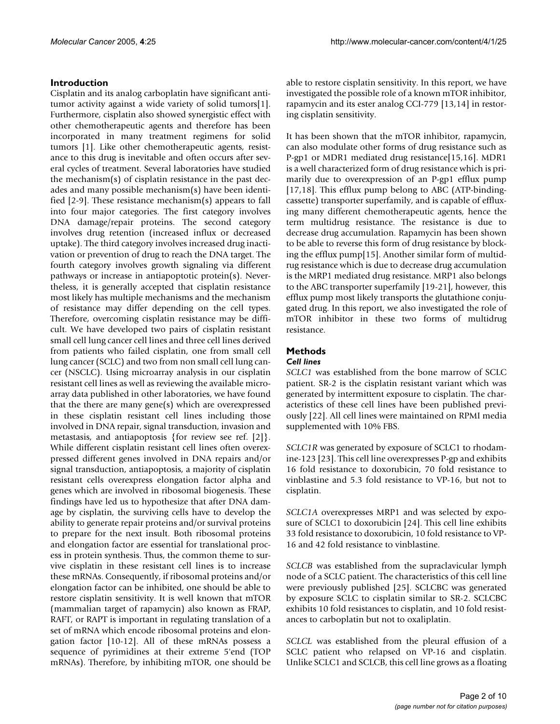### **Introduction**

Cisplatin and its analog carboplatin have significant antitumor activity against a wide variety of solid tumors[1]. Furthermore, cisplatin also showed synergistic effect with other chemotherapeutic agents and therefore has been incorporated in many treatment regimens for solid tumors [1]. Like other chemotherapeutic agents, resistance to this drug is inevitable and often occurs after several cycles of treatment. Several laboratories have studied the mechanism(s) of cisplatin resistance in the past decades and many possible mechanism(s) have been identified [2-9]. These resistance mechanism(s) appears to fall into four major categories. The first category involves DNA damage/repair proteins. The second category involves drug retention (increased influx or decreased uptake). The third category involves increased drug inactivation or prevention of drug to reach the DNA target. The fourth category involves growth signaling via different pathways or increase in antiapoptotic protein(s). Nevertheless, it is generally accepted that cisplatin resistance most likely has multiple mechanisms and the mechanism of resistance may differ depending on the cell types. Therefore, overcoming cisplatin resistance may be difficult. We have developed two pairs of cisplatin resistant small cell lung cancer cell lines and three cell lines derived from patients who failed cisplatin, one from small cell lung cancer (SCLC) and two from non small cell lung cancer (NSCLC). Using microarray analysis in our cisplatin resistant cell lines as well as reviewing the available microarray data published in other laboratories, we have found that the there are many gene(s) which are overexpressed in these cisplatin resistant cell lines including those involved in DNA repair, signal transduction, invasion and metastasis, and antiapoptosis {for review see ref. [2]}. While different cisplatin resistant cell lines often overexpressed different genes involved in DNA repairs and/or signal transduction, antiapoptosis, a majority of cisplatin resistant cells overexpress elongation factor alpha and genes which are involved in ribosomal biogenesis. These findings have led us to hypothesize that after DNA damage by cisplatin, the surviving cells have to develop the ability to generate repair proteins and/or survival proteins to prepare for the next insult. Both ribosomal proteins and elongation factor are essential for translational process in protein synthesis. Thus, the common theme to survive cisplatin in these resistant cell lines is to increase these mRNAs. Consequently, if ribosomal proteins and/or elongation factor can be inhibited, one should be able to restore cisplatin sensitivity. It is well known that mTOR (mammalian target of rapamycin) also known as FRAP, RAFT, or RAPT is important in regulating translation of a set of mRNA which encode ribosomal proteins and elongation factor [10-12]. All of these mRNAs possess a sequence of pyrimidines at their extreme 5'end (TOP mRNAs). Therefore, by inhibiting mTOR, one should be able to restore cisplatin sensitivity. In this report, we have investigated the possible role of a known mTOR inhibitor, rapamycin and its ester analog CCI-779 [13,14] in restoring cisplatin sensitivity.

It has been shown that the mTOR inhibitor, rapamycin, can also modulate other forms of drug resistance such as P-gp1 or MDR1 mediated drug resistance[15,16]. MDR1 is a well characterized form of drug resistance which is primarily due to overexpression of an P-gp1 efflux pump [17,18]. This efflux pump belong to ABC (ATP-bindingcassette) transporter superfamily, and is capable of effluxing many different chemotherapeutic agents, hence the term multidrug resistance. The resistance is due to decrease drug accumulation. Rapamycin has been shown to be able to reverse this form of drug resistance by blocking the efflux pump[15]. Another similar form of multidrug resistance which is due to decrease drug accumulation is the MRP1 mediated drug resistance. MRP1 also belongs to the ABC transporter superfamily [19-21], however, this efflux pump most likely transports the glutathione conjugated drug. In this report, we also investigated the role of mTOR inhibitor in these two forms of multidrug resistance.

# **Methods**

#### *Cell lines*

*SCLC1* was established from the bone marrow of SCLC patient. SR-2 is the cisplatin resistant variant which was generated by intermittent exposure to cisplatin. The characteristics of these cell lines have been published previously [22]. All cell lines were maintained on RPMI media supplemented with 10% FBS.

*SCLC1R* was generated by exposure of SCLC1 to rhodamine-123 [23]. This cell line overexpresses P-gp and exhibits 16 fold resistance to doxorubicin, 70 fold resistance to vinblastine and 5.3 fold resistance to VP-16, but not to cisplatin.

*SCLC1A* overexpresses MRP1 and was selected by exposure of SCLC1 to doxorubicin [24]. This cell line exhibits 33 fold resistance to doxorubicin, 10 fold resistance to VP-16 and 42 fold resistance to vinblastine.

*SCLCB* was established from the supraclavicular lymph node of a SCLC patient. The characteristics of this cell line were previously published [25]. SCLCBC was generated by exposure SCLC to cisplatin similar to SR-2. SCLCBC exhibits 10 fold resistances to cisplatin, and 10 fold resistances to carboplatin but not to oxaliplatin.

*SCLCL* was established from the pleural effusion of a SCLC patient who relapsed on VP-16 and cisplatin. Unlike SCLC1 and SCLCB, this cell line grows as a floating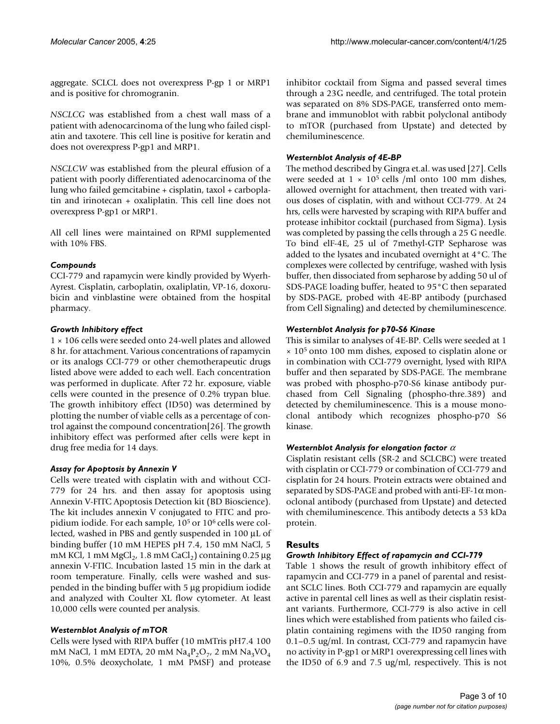aggregate. SCLCL does not overexpress P-gp 1 or MRP1 and is positive for chromogranin.

*NSCLCG* was established from a chest wall mass of a patient with adenocarcinoma of the lung who failed cisplatin and taxotere. This cell line is positive for keratin and does not overexpress P-gp1 and MRP1.

*NSCLCW* was established from the pleural effusion of a patient with poorly differentiated adenocarcinoma of the lung who failed gemcitabine + cisplatin, taxol + carboplatin and irinotecan + oxaliplatin. This cell line does not overexpress P-gp1 or MRP1.

All cell lines were maintained on RPMI supplemented with 10% FBS.

### *Compounds*

CCI-779 and rapamycin were kindly provided by Wyerh-Ayrest. Cisplatin, carboplatin, oxaliplatin, VP-16, doxorubicin and vinblastine were obtained from the hospital pharmacy.

### *Growth Inhibitory effect*

1 × 106 cells were seeded onto 24-well plates and allowed 8 hr. for attachment. Various concentrations of rapamycin or its analogs CCI-779 or other chemotherapeutic drugs listed above were added to each well. Each concentration was performed in duplicate. After 72 hr. exposure, viable cells were counted in the presence of 0.2% trypan blue. The growth inhibitory effect (ID50) was determined by plotting the number of viable cells as a percentage of control against the compound concentration[26]. The growth inhibitory effect was performed after cells were kept in drug free media for 14 days.

#### *Assay for Apoptosis by Annexin V*

Cells were treated with cisplatin with and without CCI-779 for 24 hrs. and then assay for apoptosis using Annexin V-FITC Apoptosis Detection kit (BD Bioscience). The kit includes annexin V conjugated to FITC and propidium iodide. For each sample, 105 or 106 cells were collected, washed in PBS and gently suspended in 100 µL of binding buffer (10 mM HEPES pH 7.4, 150 mM NaCl, 5 mM KCl, 1 mM MgCl<sub>2</sub>, 1.8 mM CaCl<sub>2</sub>) containing 0.25  $\mu$ g annexin V-FTIC. Incubation lasted 15 min in the dark at room temperature. Finally, cells were washed and suspended in the binding buffer with 5 µg propidium iodide and analyzed with Coulter XL flow cytometer. At least 10,000 cells were counted per analysis.

#### *Westernblot Analysis of mTOR*

Cells were lysed with RIPA buffer (10 mMTris pH7.4 100 mM NaCl, 1 mM EDTA, 20 mM Na<sub>4</sub>P<sub>2</sub>O<sub>7</sub>, 2 mM Na<sub>3</sub>VO<sub>4</sub> 10%, 0.5% deoxycholate, 1 mM PMSF) and protease inhibitor cocktail from Sigma and passed several times through a 23G needle, and centrifuged. The total protein was separated on 8% SDS-PAGE, transferred onto membrane and immunoblot with rabbit polyclonal antibody to mTOR (purchased from Upstate) and detected by chemiluminescence.

### *Westernblot Analysis of 4E-BP*

The method described by Gingra et.al. was used [27]. Cells were seeded at  $1 \times 10^5$  cells /ml onto 100 mm dishes, allowed overnight for attachment, then treated with various doses of cisplatin, with and without CCI-779. At 24 hrs, cells were harvested by scraping with RIPA buffer and protease inhibitor cocktail (purchased from Sigma). Lysis was completed by passing the cells through a 25 G needle. To bind elF-4E, 25 ul of 7methyl-GTP Sepharose was added to the lysates and incubated overnight at 4°C. The complexes were collected by centrifuge, washed with lysis buffer, then dissociated from sepharose by adding 50 ul of SDS-PAGE loading buffer, heated to 95°C then separated by SDS-PAGE, probed with 4E-BP antibody (purchased from Cell Signaling) and detected by chemiluminescence.

#### *Westernblot Analysis for p70-S6 Kinase*

This is similar to analyses of 4E-BP. Cells were seeded at 1 × 105 onto 100 mm dishes, exposed to cisplatin alone or in combination with CCI-779 overnight, lysed with RIPA buffer and then separated by SDS-PAGE. The membrane was probed with phospho-p70-S6 kinase antibody purchased from Cell Signaling (phospho-thre.389) and detected by chemiluminescence. This is a mouse monoclonal antibody which recognizes phospho-p70 S6 kinase.

#### *Westernblot Analysis for elongation factor* <sup>α</sup>

Cisplatin resistant cells (SR-2 and SCLCBC) were treated with cisplatin or CCI-779 or combination of CCI-779 and cisplatin for 24 hours. Protein extracts were obtained and separated by SDS-PAGE and probed with anti-EF-1α monoclonal antibody (purchased from Upstate) and detected with chemiluminescence. This antibody detects a 53 kDa protein.

#### **Results**

# *Growth Inhibitory Effect of rapamycin and CCI-779*

Table [1](#page-3-0) shows the result of growth inhibitory effect of rapamycin and CCI-779 in a panel of parental and resistant SCLC lines. Both CCI-779 and rapamycin are equally active in parental cell lines as well as their cisplatin resistant variants. Furthermore, CCI-779 is also active in cell lines which were established from patients who failed cisplatin containing regimens with the ID50 ranging from 0.1–0.5 ug/ml. In contrast, CCI-779 and rapamycin have no activity in P-gp1 or MRP1 overexpressing cell lines with the ID50 of 6.9 and 7.5 ug/ml, respectively. This is not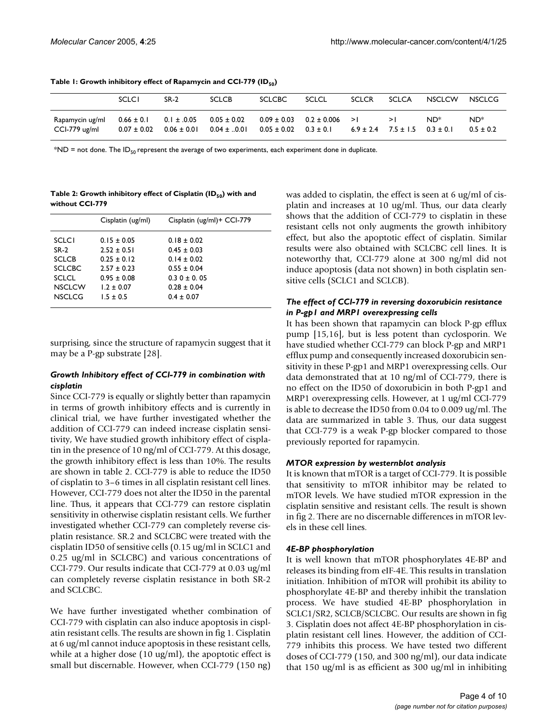|                                    | <b>SCLCI</b>                                      | SR-2            | <b>SCLCB</b>                        | <b>SCLCBC</b>                                    | <b>SCLCL</b>  | <b>SCLCR</b> | <b>SCLCA</b>                              | <b>NSCLCW</b> | <b>NSCLCG</b>                    |
|------------------------------------|---------------------------------------------------|-----------------|-------------------------------------|--------------------------------------------------|---------------|--------------|-------------------------------------------|---------------|----------------------------------|
| Rapamycin ug/ml<br>$CCl-779$ ug/ml | $0.66 \pm 0.1$ 0.1 $\pm .0.05$<br>$0.07 \pm 0.02$ | $0.06 \pm 0.01$ | $0.05 \pm 0.02$<br>$0.04 \pm .0.01$ | $0.09 \pm 0.03$<br>$0.05 \pm 0.02$ $0.3 \pm 0.1$ | $0.2\pm0.006$ | >1           | $6.9 \pm 2.4$ $7.5 \pm 1.5$ $0.3 \pm 0.1$ | $ND^*$        | ND <sup>*</sup><br>$0.5 \pm 0.2$ |

<span id="page-3-0"></span>Table 1: Growth inhibitory effect of Rapamycin and CCI-779 (ID<sub>50</sub>)

 $*ND$  = not done. The  $ID_{50}$  represent the average of two experiments, each experiment done in duplicate.

<span id="page-3-1"></span>Table 2: Growth inhibitory effect of Cisplatin (ID<sub>50</sub>) with and **without CCI-779**

|               | Cisplatin (ug/ml) | Cisplatin (ug/ml)+ CCI-779 |
|---------------|-------------------|----------------------------|
| SCLCI         | $0.15 \pm 0.05$   | $0.18 \pm 0.02$            |
| SR-2          | $2.52 \pm 0.51$   | $0.45 \pm 0.03$            |
| SCI CB        | $0.25 + 0.12$     | $0.14 \pm 0.02$            |
| SCI CBC       | $2.57 + 0.23$     | $0.55 \pm 0.04$            |
| SCLCL.        | $0.95 \pm 0.08$   | $0.30 + 0.05$              |
| NSCI CW       | $1.2 + 0.07$      | $0.28 \pm 0.04$            |
| <b>NSCLCG</b> | $1.5 \pm 0.5$     | $0.4 \pm 0.07$             |

surprising, since the structure of rapamycin suggest that it may be a P-gp substrate [28].

#### *Growth Inhibitory effect of CCI-779 in combination with cisplatin*

Since CCI-779 is equally or slightly better than rapamycin in terms of growth inhibitory effects and is currently in clinical trial, we have further investigated whether the addition of CCI-779 can indeed increase cisplatin sensitivity, We have studied growth inhibitory effect of cisplatin in the presence of 10 ng/ml of CCI-779. At this dosage, the growth inhibitory effect is less than 10%. The results are shown in table [2](#page-3-1). CCI-779 is able to reduce the ID50 of cisplatin to 3–6 times in all cisplatin resistant cell lines. However, CCI-779 does not alter the ID50 in the parental line. Thus, it appears that CCI-779 can restore cisplatin sensitivity in otherwise cisplatin resistant cells. We further investigated whether CCI-779 can completely reverse cisplatin resistance. SR.2 and SCLCBC were treated with the cisplatin ID50 of sensitive cells (0.15 ug/ml in SCLC1 and 0.25 ug/ml in SCLCBC) and various concentrations of CCI-779. Our results indicate that CCI-779 at 0.03 ug/ml can completely reverse cisplatin resistance in both SR-2 and SCLCBC.

We have further investigated whether combination of CCI-779 with cisplatin can also induce apoptosis in cisplatin resistant cells. The results are shown in fig [1](#page-4-0). Cisplatin at 6 ug/ml cannot induce apoptosis in these resistant cells, while at a higher dose (10 ug/ml), the apoptotic effect is small but discernable. However, when CCI-779 (150 ng) was added to cisplatin, the effect is seen at 6 ug/ml of cisplatin and increases at 10 ug/ml. Thus, our data clearly shows that the addition of CCI-779 to cisplatin in these resistant cells not only augments the growth inhibitory effect, but also the apoptotic effect of cisplatin. Similar results were also obtained with SCLCBC cell lines. It is noteworthy that, CCI-779 alone at 300 ng/ml did not induce apoptosis (data not shown) in both cisplatin sensitive cells (SCLC1 and SCLCB).

## *The effect of CCI-779 in reversing doxorubicin resistance in P-gp1 and MRP1 overexpressing cells*

It has been shown that rapamycin can block P-gp efflux pump [15,16], but is less potent than cyclosporin. We have studied whether CCI-779 can block P-gp and MRP1 efflux pump and consequently increased doxorubicin sensitivity in these P-gp1 and MRP1 overexpressing cells. Our data demonstrated that at 10 ng/ml of CCI-779, there is no effect on the ID50 of doxorubicin in both P-gp1 and MRP1 overexpressing cells. However, at 1 ug/ml CCI-779 is able to decrease the ID50 from 0.04 to 0.009 ug/ml. The data are summarized in table [3](#page-5-0). Thus, our data suggest that CCI-779 is a weak P-gp blocker compared to those previously reported for rapamycin.

#### *MTOR expression by westernblot analysis*

It is known that mTOR is a target of CCI-779. It is possible that sensitivity to mTOR inhibitor may be related to mTOR levels. We have studied mTOR expression in the cisplatin sensitive and resistant cells. The result is shown in fig [2](#page-5-1). There are no discernable differences in mTOR levels in these cell lines.

#### *4E-BP phosphorylation*

It is well known that mTOR phosphorylates 4E-BP and releases its binding from eIF-4E. This results in translation initiation. Inhibition of mTOR will prohibit its ability to phosphorylate 4E-BP and thereby inhibit the translation process. We have studied 4E-BP phosphorylation in SCLC1/SR2, SCLCB/SCLCBC. Our results are shown in fig 3. Cisplatin does not affect 4E-BP phosphorylation in cisplatin resistant cell lines. However, the addition of CCI-779 inhibits this process. We have tested two different doses of CCI-779 (150, and 300 ng/ml), our data indicate that 150 ug/ml is as efficient as 300 ug/ml in inhibiting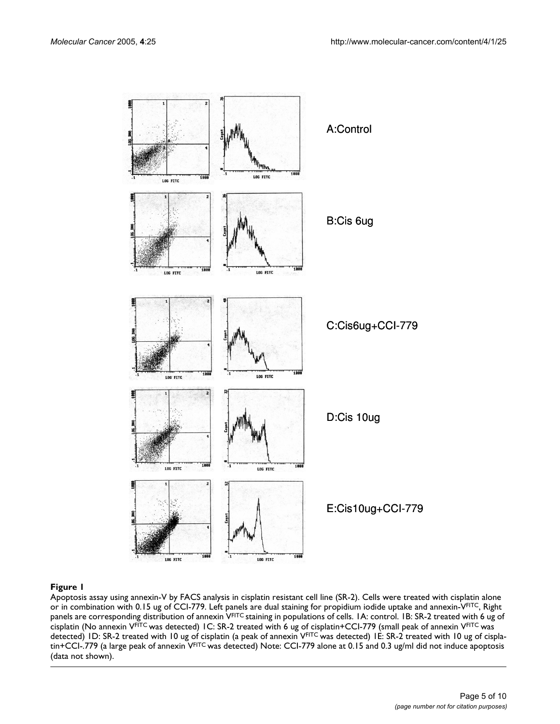<span id="page-4-0"></span>

#### **Figure 1**

Apoptosis assay using annexin-V by FACS analysis in cisplatin resistant cell line (SR-2). Cells were treated with cisplatin alone or in combination with 0.15 ug of CCI-779. Left panels are dual staining for propidium iodide uptake and annexin-VFITC, Right panels are corresponding distribution of annexin VFITC staining in populations of cells. IA: control. IB: SR-2 treated with 6 ug of cisplatin (No annexin VFITC was detected) 1C: SR-2 treated with 6 ug of cisplatin+CCI-779 (small peak of annexin VFITC was detected) ID: SR-2 treated with 10 ug of cisplatin (a peak of annexin VFITC was detected) IE: SR-2 treated with 10 ug of cisplatin+CCI-.779 (a large peak of annexin VFITC was detected) Note: CCI-779 alone at 0.15 and 0.3 ug/ml did not induce apoptosis (data not shown).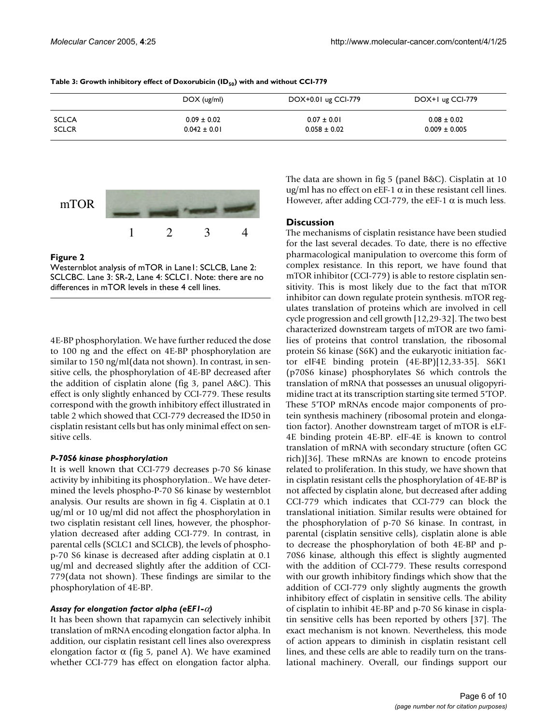|              | DOX (ug/ml)      | DOX+0.01 ug CCI-779 | DOX+1 ug CCI-779  |  |
|--------------|------------------|---------------------|-------------------|--|
| <b>SCLCA</b> | $0.09 \pm 0.02$  | $0.07 \pm 0.01$     | $0.08 \pm 0.02$   |  |
| <b>SCLCR</b> | $0.042 \pm 0.01$ | $0.058 \pm 0.02$    | $0.009 \pm 0.005$ |  |

<span id="page-5-0"></span>Table 3: Growth inhibitory effect of Doxorubicin (ID<sub>50</sub>) with and without CCI-779

<span id="page-5-1"></span>

Figure 2

Westernblot analysis of mTOR in Lane1: SCLCB, Lane 2: SCLCBC. Lane 3: SR-2, Lane 4: SCLC1. Note: there are no differences in mTOR levels in these 4 cell lines.

4E-BP phosphorylation. We have further reduced the dose to 100 ng and the effect on 4E-BP phosphorylation are similar to 150 ng/ml(data not shown). In contrast, in sensitive cells, the phosphorylation of 4E-BP decreased after the addition of cisplatin alone (fig 3, panel A&C). This effect is only slightly enhanced by CCI-779. These results correspond with the growth inhibitory effect illustrated in table [2](#page-3-1) which showed that CCI-779 decreased the ID50 in cisplatin resistant cells but has only minimal effect on sensitive cells.

#### *P-70S6 kinase phosphorylation*

It is well known that CCI-779 decreases p-70 S6 kinase activity by inhibiting its phosphorylation.. We have determined the levels phospho-P-70 S6 kinase by westernblot analysis. Our results are shown in fig [4](#page-7-0). Cisplatin at 0.1 ug/ml or 10 ug/ml did not affect the phosphorylation in two cisplatin resistant cell lines, however, the phosphorylation decreased after adding CCI-779. In contrast, in parental cells (SCLC1 and SCLCB), the levels of phosphop-70 S6 kinase is decreased after adding cisplatin at 0.1 ug/ml and decreased slightly after the addition of CCI-779(data not shown). These findings are similar to the phosphorylation of 4E-BP.

#### *Assay for elongation factor alpha (eEF1-*α*)*

It has been shown that rapamycin can selectively inhibit translation of mRNA encoding elongation factor alpha. In addition, our cisplatin resistant cell lines also overexpress elongation factor  $\alpha$  (fig [5](#page-7-1), panel A). We have examined whether CCI-779 has effect on elongation factor alpha.

The data are shown in fig [5](#page-7-1) (panel B&C). Cisplatin at 10 ug/ml has no effect on eEF-1  $\alpha$  in these resistant cell lines. However, after adding CCI-779, the eEF-1  $\alpha$  is much less.

#### **Discussion**

The mechanisms of cisplatin resistance have been studied for the last several decades. To date, there is no effective pharmacological manipulation to overcome this form of complex resistance. In this report, we have found that mTOR inhibitor (CCI-779) is able to restore cisplatin sensitivity. This is most likely due to the fact that mTOR inhibitor can down regulate protein synthesis. mTOR regulates translation of proteins which are involved in cell cycle progression and cell growth [12,29-32]. The two best characterized downstream targets of mTOR are two families of proteins that control translation, the ribosomal protein S6 kinase (S6K) and the eukaryotic initiation factor eIF4E binding protein (4E-BP)[12,33-35]. S6K1 (p70S6 kinase) phosphorylates S6 which controls the translation of mRNA that possesses an unusual oligopyrimidine tract at its transcription starting site termed 5'TOP. These 5'TOP mRNAs encode major components of protein synthesis machinery (ribosomal protein and elongation factor). Another downstream target of mTOR is eLF-4E binding protein 4E-BP. eIF-4E is known to control translation of mRNA with secondary structure (often GC rich)[36]. These mRNAs are known to encode proteins related to proliferation. In this study, we have shown that in cisplatin resistant cells the phosphorylation of 4E-BP is not affected by cisplatin alone, but decreased after adding CCI-779 which indicates that CCI-779 can block the translational initiation. Similar results were obtained for the phosphorylation of p-70 S6 kinase. In contrast, in parental (cisplatin sensitive cells), cisplatin alone is able to decrease the phosphorylation of both 4E-BP and p-70S6 kinase, although this effect is slightly augmented with the addition of CCI-779. These results correspond with our growth inhibitory findings which show that the addition of CCI-779 only slightly augments the growth inhibitory effect of cisplatin in sensitive cells. The ability of cisplatin to inhibit 4E-BP and p-70 S6 kinase in cisplatin sensitive cells has been reported by others [37]. The exact mechanism is not known. Nevertheless, this mode of action appears to diminish in cisplatin resistant cell lines, and these cells are able to readily turn on the translational machinery. Overall, our findings support our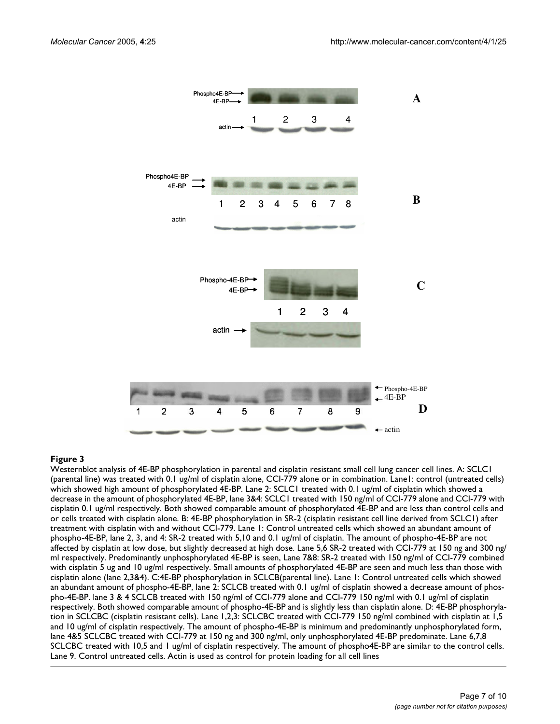

#### **Figure 3** Westernblot analysis of 4E-BP phosphorylation in parental and cismin resistant small cell lung cancer cell lines and content small cell lung cancer cell lung cancer cell lung cancer cell lung cancer cell lung ca

Westernblot analysis of 4E-BP phosphorylation in parental and cisplatin resistant small cell lung cancer cell lines. A: SCLC1 (parental line) was treated with 0.1 ug/ml of cisplatin alone, CCI-779 alone or in combination. Lane1: control (untreated cells) which showed high amount of phosphorylated 4E-BP. Lane 2: SCLC1 treated with 0.1 ug/ml of cisplatin which showed a decrease in the amount of phosphorylated 4E-BP, lane 3&4: SCLC1 treated with 150 ng/ml of CCI-779 alone and CCI-779 with cisplatin 0.1 ug/ml respectively. Both showed comparable amount of phosphorylated 4E-BP and are less than control cells and or cells treated with cisplatin alone. B: 4E-BP phosphorylation in SR-2 (cisplatin resistant cell line derived from SCLC1) after treatment with cisplatin with and without CCI-779. Lane 1: Control untreated cells which showed an abundant amount of phospho-4E-BP, lane 2, 3, and 4: SR-2 treated with 5,10 and 0.1 ug/ml of cisplatin. The amount of phospho-4E-BP are not affected by cisplatin at low dose, but slightly decreased at high dose. Lane 5,6 SR-2 treated with CCI-779 at 150 ng and 300 ng/ ml respectively. Predominantly unphosphorylated 4E-BP is seen, Lane 7&8: SR-2 treated with 150 ng/ml of CCI-779 combined with cisplatin 5 ug and 10 ug/ml respectively. Small amounts of phosphorylated 4E-BP are seen and much less than those with cisplatin alone (lane 2,3&4). C:4E-BP phosphorylation in SCLCB(parental line). Lane 1: Control untreated cells which showed an abundant amount of phospho-4E-BP, lane 2: SCLCB treated with 0.1 ug/ml of cisplatin showed a decrease amount of phospho-4E-BP. lane 3 & 4 SCLCB treated with 150 ng/ml of CCI-779 alone and CCI-779 150 ng/ml with 0.1 ug/ml of cisplatin respectively. Both showed comparable amount of phospho-4E-BP and is slightly less than cisplatin alone. D: 4E-BP phosphorylation in SCLCBC (cisplatin resistant cells). Lane 1,2,3: SCLCBC treated with CCI-779 150 ng/ml combined with cisplatin at 1,5 and 10 ug/ml of cisplatin respectively. The amount of phospho-4E-BP is minimum and predominantly unphosphorylated form, lane 4&5 SCLCBC treated with CCI-779 at 150 ng and 300 ng/ml, only unphosphorylated 4E-BP predominate. Lane 6,7,8 SCLCBC treated with 10,5 and 1 ug/ml of cisplatin respectively. The amount of phospho4E-BP are similar to the control cells. Lane 9. Control untreated cells. Actin is used as control for protein loading for all cell lines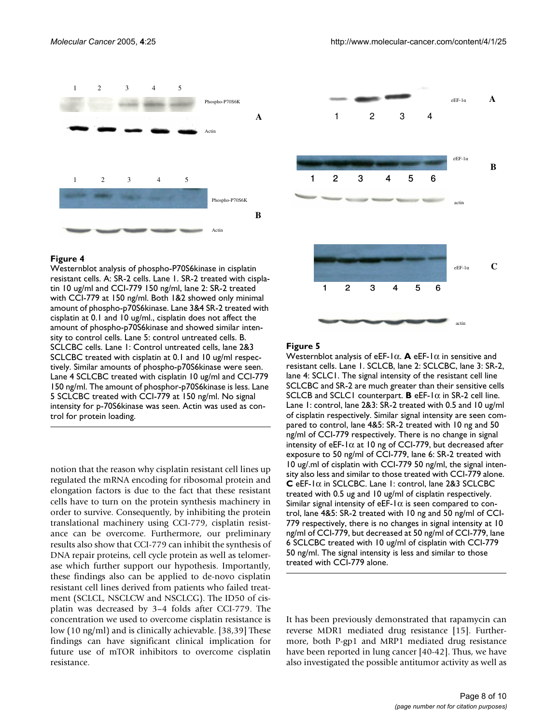

<span id="page-7-0"></span>

#### Figure 4

Westernblot analysis of phospho-P70S6kinase in cisplatin resistant cells. A: SR-2 cells. Lane 1. SR-2 treated with cisplatin 10 ug/ml and CCI-779 150 ng/ml, lane 2: SR-2 treated with CCI-779 at 150 ng/ml. Both 1&2 showed only minimal amount of phospho-p70S6kinase. Lane 3&4 SR-2 treated with cisplatin at 0.1 and 10 ug/ml., cisplatin does not affect the amount of phospho-p70S6kinase and showed similar intensity to control cells. Lane 5: control untreated cells. B. SCLCBC cells. Lane 1: Control untreated cells, lane 2&3 SCLCBC treated with cisplatin at 0.1 and 10 ug/ml respectively. Similar amounts of phospho-p70S6kinase were seen. Lane 4 SCLCBC treated with cisplatin 10 ug/ml and CCI-779 150 ng/ml. The amount of phosphor-p70S6kinase is less. Lane 5 SCLCBC treated with CCI-779 at 150 ng/ml. No signal intensity for p-70S6kinase was seen. Actin was used as control for protein loading.

notion that the reason why cisplatin resistant cell lines up regulated the mRNA encoding for ribosomal protein and elongation factors is due to the fact that these resistant cells have to turn on the protein synthesis machinery in order to survive. Consequently, by inhibiting the protein translational machinery using CCI-779, cisplatin resistance can be overcome. Furthermore, our preliminary results also show that CCI-779 can inhibit the synthesis of DNA repair proteins, cell cycle protein as well as telomerase which further support our hypothesis. Importantly, these findings also can be applied to de-novo cisplatin resistant cell lines derived from patients who failed treatment (SCLCL, NSCLCW and NSCLCG). The ID50 of cisplatin was decreased by 3–4 folds after CCI-779. The concentration we used to overcome cisplatin resistance is low (10 ng/ml) and is clinically achievable. [38,39] These findings can have significant clinical implication for future use of mTOR inhibitors to overcome cisplatin resistance.

<span id="page-7-1"></span>

#### Figure 5

Westernblot analysis of eEF-1α. **A** eEF-1α in sensitive and resistant cells. Lane 1. SCLCB, lane 2: SCLCBC, lane 3: SR-2, lane 4: SCLC1. The signal intensity of the resistant cell line SCLCBC and SR-2 are much greater than their sensitive cells SCLCB and SCLC1 counterpart. **B** eEF-1α in SR-2 cell line. Lane 1: control, lane 2&3: SR-2 treated with 0.5 and 10 ug/ml of cisplatin respectively. Similar signal intensity are seen compared to control, lane 4&5: SR-2 treated with 10 ng and 50 ng/ml of CCI-779 respectively. There is no change in signal intensity of eEF-1 $\alpha$  at 10 ng of CCI-779, but decreased after exposure to 50 ng/ml of CCI-779, lane 6: SR-2 treated with 10 ug/.ml of cisplatin with CCI-779 50 ng/ml, the signal intensity also less and similar to those treated with CCI-779 alone. **C** eEF-1α in SCLCBC. Lane 1: control, lane 2&3 SCLCBC treated with 0.5 ug and 10 ug/ml of cisplatin respectively. Similar signal intensity of eEF-1 $\alpha$  is seen compared to control, lane 4&5: SR-2 treated with 10 ng and 50 ng/ml of CCI-779 respectively, there is no changes in signal intensity at 10 ng/ml of CCI-779, but decreased at 50 ng/ml of CCI-779, lane 6 SCLCBC treated with 10 ug/ml of cisplatin with CCI-779 50 ng/ml. The signal intensity is less and similar to those treated with CCI-779 alone.

It has been previously demonstrated that rapamycin can reverse MDR1 mediated drug resistance [15]. Furthermore, both P-gp1 and MRP1 mediated drug resistance have been reported in lung cancer [40-42]. Thus, we have also investigated the possible antitumor activity as well as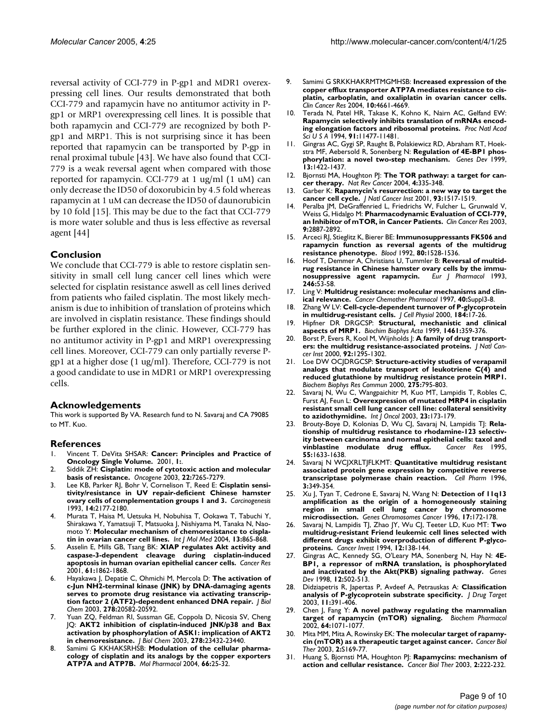reversal activity of CCI-779 in P-gp1 and MDR1 overexpressing cell lines. Our results demonstrated that both CCI-779 and rapamycin have no antitumor activity in Pgp1 or MRP1 overexpressing cell lines. It is possible that both rapamycin and CCI-779 are recognized by both Pgp1 and MRP1. This is not surprising since it has been reported that rapamycin can be transported by P-gp in renal proximal tubule [43]. We have also found that CCI-779 is a weak reversal agent when compared with those reported for rapamycin. CCI-779 at 1 ug/ml (1 uM) can only decrease the ID50 of doxorubicin by 4.5 fold whereas rapamycin at 1 uM can decrease the ID50 of daunorubicin by 10 fold [15]. This may be due to the fact that CCI-779 is more water soluble and thus is less effective as reversal agent [44]

### **Conclusion**

We conclude that CCI-779 is able to restore cisplatin sensitivity in small cell lung cancer cell lines which were selected for cisplatin resistance aswell as cell lines derived from patients who failed cisplatin. The most likely mechanism is due to inhibition of translation of proteins which are involved in cisplatin resistance. These findings should be further explored in the clinic. However, CCI-779 has no antitumor activity in P-gp1 and MRP1 overexpressing cell lines. Moreover, CCI-779 can only partially reverse Pgp1 at a higher dose (1 ug/ml). Therefore, CCI-779 is not a good candidate to use in MDR1 or MRP1 overexpressing cells.

#### **Acknowledgements**

This work is supported By VA. Research fund to N. Savaraj and CA 79085 to MT. Kuo.

# **References**

- 1. Vincent T. DeVita SHSAR: **Cancer: Principles and Practice of Oncology Single Volume.** 2001, **1:**.
- 2. Siddik ZH: **[Cisplatin: mode of cytotoxic action and molecular](http://www.ncbi.nlm.nih.gov/entrez/query.fcgi?cmd=Retrieve&db=PubMed&dopt=Abstract&list_uids=14576837) [basis of resistance.](http://www.ncbi.nlm.nih.gov/entrez/query.fcgi?cmd=Retrieve&db=PubMed&dopt=Abstract&list_uids=14576837)** *Oncogene* 2003, **22:**7265-7279.
- Lee KB, Parker RJ, Bohr V, Cornelison T, Reed E: [Cisplatin sensi](http://www.ncbi.nlm.nih.gov/entrez/query.fcgi?cmd=Retrieve&db=PubMed&dopt=Abstract&list_uids=8222071)**[tivity/resistance in UV repair-deficient Chinese hamster](http://www.ncbi.nlm.nih.gov/entrez/query.fcgi?cmd=Retrieve&db=PubMed&dopt=Abstract&list_uids=8222071) [ovary cells of complementation groups 1 and 3.](http://www.ncbi.nlm.nih.gov/entrez/query.fcgi?cmd=Retrieve&db=PubMed&dopt=Abstract&list_uids=8222071)** *Carcinogenesis* 1993, **14:**2177-2180.
- 4. Murata T, Haisa M, Uetsuka H, Nobuhisa T, Ookawa T, Tabuchi Y, Shirakawa Y, Yamatsuji T, Matsuoka J, Nishiyama M, Tanaka N, Naomoto Y: **[Molecular mechanism of chemoresistance to cispla](http://www.ncbi.nlm.nih.gov/entrez/query.fcgi?cmd=Retrieve&db=PubMed&dopt=Abstract&list_uids=15138626)[tin in ovarian cancer cell lines.](http://www.ncbi.nlm.nih.gov/entrez/query.fcgi?cmd=Retrieve&db=PubMed&dopt=Abstract&list_uids=15138626)** *Int J Mol Med* 2004, **13:**865-868.
- 5. Asselin E, Mills GB, Tsang BK: **[XIAP regulates Akt activity and](http://www.ncbi.nlm.nih.gov/entrez/query.fcgi?cmd=Retrieve&db=PubMed&dopt=Abstract&list_uids=11280739) [caspase-3-dependent cleavage during cisplatin-induced](http://www.ncbi.nlm.nih.gov/entrez/query.fcgi?cmd=Retrieve&db=PubMed&dopt=Abstract&list_uids=11280739) [apoptosis in human ovarian epithelial cancer cells.](http://www.ncbi.nlm.nih.gov/entrez/query.fcgi?cmd=Retrieve&db=PubMed&dopt=Abstract&list_uids=11280739)** *Cancer Res* 2001, **61:**1862-1868.
- 6. Hayakawa J, Depatie C, Ohmichi M, Mercola D: **[The activation of](http://www.ncbi.nlm.nih.gov/entrez/query.fcgi?cmd=Retrieve&db=PubMed&dopt=Abstract&list_uids=12663670) c-Jun NH2-terminal kinase (JNK) by DNA-damaging agents [serves to promote drug resistance via activating transcrip](http://www.ncbi.nlm.nih.gov/entrez/query.fcgi?cmd=Retrieve&db=PubMed&dopt=Abstract&list_uids=12663670)[tion factor 2 \(ATF2\)-dependent enhanced DNA repair.](http://www.ncbi.nlm.nih.gov/entrez/query.fcgi?cmd=Retrieve&db=PubMed&dopt=Abstract&list_uids=12663670)** *J Biol Chem* 2003, **278:**20582-20592.
- 7. Yuan ZQ, Feldman RI, Sussman GE, Coppola D, Nicosia SV, Cheng JQ: **[AKT2 inhibition of cisplatin-induced JNK/p38 and Bax](http://www.ncbi.nlm.nih.gov/entrez/query.fcgi?cmd=Retrieve&db=PubMed&dopt=Abstract&list_uids=12697749) [activation by phosphorylation of ASK1: implication of AKT2](http://www.ncbi.nlm.nih.gov/entrez/query.fcgi?cmd=Retrieve&db=PubMed&dopt=Abstract&list_uids=12697749) [in chemoresistance.](http://www.ncbi.nlm.nih.gov/entrez/query.fcgi?cmd=Retrieve&db=PubMed&dopt=Abstract&list_uids=12697749)** *J Biol Chem* 2003, **278:**23432-23440.
- 8. Samimi G KKHAKSRHSB: **[Modulation of the cellular pharma](http://www.ncbi.nlm.nih.gov/entrez/query.fcgi?cmd=Retrieve&db=PubMed&dopt=Abstract&list_uids=15213293)[cology of cisplatin and its analogs by the copper exporters](http://www.ncbi.nlm.nih.gov/entrez/query.fcgi?cmd=Retrieve&db=PubMed&dopt=Abstract&list_uids=15213293) [ATP7A and ATP7B.](http://www.ncbi.nlm.nih.gov/entrez/query.fcgi?cmd=Retrieve&db=PubMed&dopt=Abstract&list_uids=15213293)** *Mol Pharmacol* 2004, **66:**25-32.
- 9. Samimi G SRKKHAKRMTMGMHSB: **[Increased expression of the](http://www.ncbi.nlm.nih.gov/entrez/query.fcgi?cmd=Retrieve&db=PubMed&dopt=Abstract&list_uids=15269138) [copper efflux transporter ATP7A mediates resistance to cis](http://www.ncbi.nlm.nih.gov/entrez/query.fcgi?cmd=Retrieve&db=PubMed&dopt=Abstract&list_uids=15269138)platin, carboplatin, and oxaliplatin in ovarian cancer cells.** *Clin Cancer Res* 2004, **10:**4661-4669.
- 10. Terada N, Patel HR, Takase K, Kohno K, Nairn AC, Gelfand EW: **[Rapamycin selectively inhibits translation of mRNAs encod](http://www.ncbi.nlm.nih.gov/entrez/query.fcgi?cmd=Retrieve&db=PubMed&dopt=Abstract&list_uids=7972087)[ing elongation factors and ribosomal proteins.](http://www.ncbi.nlm.nih.gov/entrez/query.fcgi?cmd=Retrieve&db=PubMed&dopt=Abstract&list_uids=7972087)** *Proc Natl Acad Sci U S A* 1994, **91:**11477-11481.
- Gingras AC, Gygi SP, Raught B, Polakiewicz RD, Abraham RT, Hoekstra MF, Aebersold R, Sonenberg N: **[Regulation of 4E-BP1 phos](http://www.ncbi.nlm.nih.gov/entrez/query.fcgi?cmd=Retrieve&db=PubMed&dopt=Abstract&list_uids=10364159)[phorylation: a novel two-step mechanism.](http://www.ncbi.nlm.nih.gov/entrez/query.fcgi?cmd=Retrieve&db=PubMed&dopt=Abstract&list_uids=10364159)** *Genes Dev* 1999, **13:**1422-1437.
- 12. Bjornsti MA, Houghton PJ: [The TOR pathway: a target for can](http://www.ncbi.nlm.nih.gov/entrez/query.fcgi?cmd=Retrieve&db=PubMed&dopt=Abstract&list_uids=15122205)**[cer therapy.](http://www.ncbi.nlm.nih.gov/entrez/query.fcgi?cmd=Retrieve&db=PubMed&dopt=Abstract&list_uids=15122205)** *Nat Rev Cancer* 2004, **4:**335-348.
- 13. Garber K: **[Rapamycin's resurrection: a new way to target the](http://www.ncbi.nlm.nih.gov/entrez/query.fcgi?cmd=Retrieve&db=PubMed&dopt=Abstract&list_uids=11604470) [cancer cell cycle.](http://www.ncbi.nlm.nih.gov/entrez/query.fcgi?cmd=Retrieve&db=PubMed&dopt=Abstract&list_uids=11604470)** *J Natl Cancer Inst* 2001, **93:**1517-1519.
- 14. Peralba JM, DeGraffenried L, Friedrichs W, Fulcher L, Grunwald V, Weiss G, Hidalgo M: **[Pharmacodynamic Evaluation of CCI-779,](http://www.ncbi.nlm.nih.gov/entrez/query.fcgi?cmd=Retrieve&db=PubMed&dopt=Abstract&list_uids=12912932) [an Inhibitor of mTOR, in Cancer Patients.](http://www.ncbi.nlm.nih.gov/entrez/query.fcgi?cmd=Retrieve&db=PubMed&dopt=Abstract&list_uids=12912932)** *Clin Cancer Res* 2003, **9:**2887-2892.
- 15. Arceci RJ, Stieglitz K, Bierer BE: **[Immunosuppressants FK506 and](http://www.ncbi.nlm.nih.gov/entrez/query.fcgi?cmd=Retrieve&db=PubMed&dopt=Abstract&list_uids=1381629) [rapamycin function as reversal agents of the multidrug](http://www.ncbi.nlm.nih.gov/entrez/query.fcgi?cmd=Retrieve&db=PubMed&dopt=Abstract&list_uids=1381629) [resistance phenotype.](http://www.ncbi.nlm.nih.gov/entrez/query.fcgi?cmd=Retrieve&db=PubMed&dopt=Abstract&list_uids=1381629)** *Blood* 1992, **80:**1528-1536.
- 16. Hoof T, Demmer A, Christians U, Tummler B: **[Reversal of multid](http://www.ncbi.nlm.nih.gov/entrez/query.fcgi?cmd=Retrieve&db=PubMed&dopt=Abstract&list_uids=7689059)rug resistance in Chinese hamster ovary cells by the immu-<br>nosuppressive agent rapamycin.** Eur | Pharmacol 1993, **[nosuppressive agent rapamycin.](http://www.ncbi.nlm.nih.gov/entrez/query.fcgi?cmd=Retrieve&db=PubMed&dopt=Abstract&list_uids=7689059)** *Eur J Pharmacol* 1993, **246:**53-58.
- 17. Ling V: **Multidrug resistance: molecular mechanisms and clinical relevance.** *Cancer Chemother Pharmacol* 1997, **40:**Suppl3-8.
- 18. Zhang W LV: **[Cell-cycle-dependent turnover of P-glycoprotein](http://www.ncbi.nlm.nih.gov/entrez/query.fcgi?cmd=Retrieve&db=PubMed&dopt=Abstract&list_uids=10825230) [in multidrug-resistant cells.](http://www.ncbi.nlm.nih.gov/entrez/query.fcgi?cmd=Retrieve&db=PubMed&dopt=Abstract&list_uids=10825230)** *J Cell Physiol* 2000, **184:**17-26.
- 19. Hipfner DR DRGCSP: **[Structural, mechanistic and clinical](http://www.ncbi.nlm.nih.gov/entrez/query.fcgi?cmd=Retrieve&db=PubMed&dopt=Abstract&list_uids=10581367) [aspects of MRP1.](http://www.ncbi.nlm.nih.gov/entrez/query.fcgi?cmd=Retrieve&db=PubMed&dopt=Abstract&list_uids=10581367)** *Biochim Biophys Acta* 1999, **1461:**359-376.
- 20. Borst P, Evers R, Kool M, Wijnholds J: **[A family of drug transport](http://www.ncbi.nlm.nih.gov/entrez/query.fcgi?cmd=Retrieve&db=PubMed&dopt=Abstract&list_uids=10944550)[ers: the multidrug resistance-associated proteins.](http://www.ncbi.nlm.nih.gov/entrez/query.fcgi?cmd=Retrieve&db=PubMed&dopt=Abstract&list_uids=10944550)** *J Natl Cancer Inst* 2000, **92:**1295-1302.
- 21. Loe DW OCJDRGCSP: **[Structure-activity studies of verapamil](http://www.ncbi.nlm.nih.gov/entrez/query.fcgi?cmd=Retrieve&db=PubMed&dopt=Abstract&list_uids=10973801) [analogs that modulate transport of leukotriene C\(4\) and](http://www.ncbi.nlm.nih.gov/entrez/query.fcgi?cmd=Retrieve&db=PubMed&dopt=Abstract&list_uids=10973801) reduced glutathione by multidrug resistance protein MRP1.** *Biochem Biophys Res Commun* 2000, **275:**795-803.
- Savaraj N, Wu C, Wangpaichitr M, Kuo MT, Lampidis T, Robles C, Furst AJ, Feun L: **[Overexpression of mutated MRP4 in cisplatin](http://www.ncbi.nlm.nih.gov/entrez/query.fcgi?cmd=Retrieve&db=PubMed&dopt=Abstract&list_uids=12792791) [resistant small cell lung cancer cell line: collateral sensitivity](http://www.ncbi.nlm.nih.gov/entrez/query.fcgi?cmd=Retrieve&db=PubMed&dopt=Abstract&list_uids=12792791) [to azidothymidine.](http://www.ncbi.nlm.nih.gov/entrez/query.fcgi?cmd=Retrieve&db=PubMed&dopt=Abstract&list_uids=12792791)** *Int J Oncol* 2003, **23:**173-179.
- 23. Brouty-Boye D, Kolonias D, Wu CJ, Savaraj N, Lampidis TJ: **[Rela](http://www.ncbi.nlm.nih.gov/entrez/query.fcgi?cmd=Retrieve&db=PubMed&dopt=Abstract&list_uids=7712466)[tionship of multidrug resistance to rhodamine-123 selectiv](http://www.ncbi.nlm.nih.gov/entrez/query.fcgi?cmd=Retrieve&db=PubMed&dopt=Abstract&list_uids=7712466)ity between carcinoma and normal epithelial cells: taxol and [vinblastine modulate drug efflux.](http://www.ncbi.nlm.nih.gov/entrez/query.fcgi?cmd=Retrieve&db=PubMed&dopt=Abstract&list_uids=7712466)** *Cancer Res* 1995, **55:**1633-1638.
- 24. Savaraj N WCJXRLTJFLKMT: **Quantitative multidrug resistant associated protein gene expression by competitive reverse transcriptase polymerase chain reaction.** *Cell Pharm* 1996, **3:**349-354.
- 25. Xu J, Tyan T, Cedrone E, Savaraj N, Wang N: **[Detection of 11q13](http://www.ncbi.nlm.nih.gov/entrez/query.fcgi?cmd=Retrieve&db=PubMed&dopt=Abstract&list_uids=8946196) [amplification as the origin of a homogeneously staining](http://www.ncbi.nlm.nih.gov/entrez/query.fcgi?cmd=Retrieve&db=PubMed&dopt=Abstract&list_uids=8946196) region in small cell lung cancer by chromosome [microdissection.](http://www.ncbi.nlm.nih.gov/entrez/query.fcgi?cmd=Retrieve&db=PubMed&dopt=Abstract&list_uids=8946196)** *Genes Chromosomes Cancer* 1996, **17:**172-178.
- 26. Savaraj N, Lampidis TJ, Zhao JY, Wu CJ, Teeter LD, Kuo MT: **[Two](http://www.ncbi.nlm.nih.gov/entrez/query.fcgi?cmd=Retrieve&db=PubMed&dopt=Abstract&list_uids=7907527) [multidrug-resistant Friend leukemic cell lines selected with](http://www.ncbi.nlm.nih.gov/entrez/query.fcgi?cmd=Retrieve&db=PubMed&dopt=Abstract&list_uids=7907527) different drugs exhibit overproduction of different P-glyco[proteins.](http://www.ncbi.nlm.nih.gov/entrez/query.fcgi?cmd=Retrieve&db=PubMed&dopt=Abstract&list_uids=7907527)** *Cancer Invest* 1994, **12:**138-144.
- 27. Gingras AC, Kennedy SG, O'Leary MA, Sonenberg N, Hay N: **[4E-](http://www.ncbi.nlm.nih.gov/entrez/query.fcgi?cmd=Retrieve&db=PubMed&dopt=Abstract&list_uids=9472019)[BP1, a repressor of mRNA translation, is phosphorylated](http://www.ncbi.nlm.nih.gov/entrez/query.fcgi?cmd=Retrieve&db=PubMed&dopt=Abstract&list_uids=9472019) [and inactivated by the Akt\(PKB\) signaling pathway.](http://www.ncbi.nlm.nih.gov/entrez/query.fcgi?cmd=Retrieve&db=PubMed&dopt=Abstract&list_uids=9472019)** *Genes Dev* 1998, **12:**502-513.
- 28. Didziapetris R, Japertas P, Avdeef A, Petrauskas A: **[Classification](http://www.ncbi.nlm.nih.gov/entrez/query.fcgi?cmd=Retrieve&db=PubMed&dopt=Abstract&list_uids=15203928) [analysis of P-glycoprotein substrate specificity.](http://www.ncbi.nlm.nih.gov/entrez/query.fcgi?cmd=Retrieve&db=PubMed&dopt=Abstract&list_uids=15203928)** *J Drug Target* 2003, **11:**391-406.
- 29. Chen J, Fang Y: **[A novel pathway regulating the mammalian](http://www.ncbi.nlm.nih.gov/entrez/query.fcgi?cmd=Retrieve&db=PubMed&dopt=Abstract&list_uids=12234610) [target of rapamycin \(mTOR\) signaling.](http://www.ncbi.nlm.nih.gov/entrez/query.fcgi?cmd=Retrieve&db=PubMed&dopt=Abstract&list_uids=12234610)** *Biochem Pharmacol* 2002, **64:**1071-1077.
- 30. Mita MM, Mita A, Rowinsky EK: **[The molecular target of rapamy](http://www.ncbi.nlm.nih.gov/entrez/query.fcgi?cmd=Retrieve&db=PubMed&dopt=Abstract&list_uids=14508096)[cin \(mTOR\) as a therapeutic target against cancer.](http://www.ncbi.nlm.nih.gov/entrez/query.fcgi?cmd=Retrieve&db=PubMed&dopt=Abstract&list_uids=14508096)** *Cancer Biol Ther* 2003, **2:**S169-77.
- 31. Huang S, Bjornsti MA, Houghton PJ: **[Rapamycins: mechanism of](http://www.ncbi.nlm.nih.gov/entrez/query.fcgi?cmd=Retrieve&db=PubMed&dopt=Abstract&list_uids=12878853) [action and cellular resistance.](http://www.ncbi.nlm.nih.gov/entrez/query.fcgi?cmd=Retrieve&db=PubMed&dopt=Abstract&list_uids=12878853)** *Cancer Biol Ther* 2003, **2:**222-232.